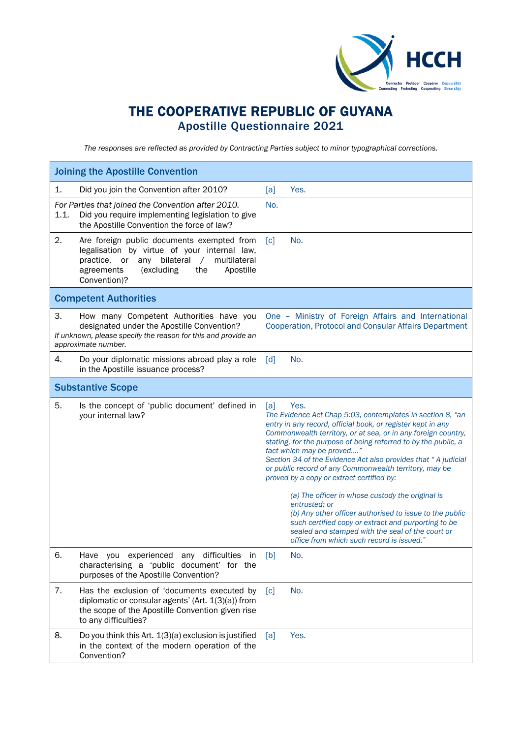

## THE COOPERATIVE REPUBLIC OF GUYANA Apostille Questionnaire 2021

*The responses are reflected as provided by Contracting Parties subject to minor typographical corrections.*

| <b>Joining the Apostille Convention</b>                                                                                                                                                                                               |                                                                                                                                                                                                                                                                                                                                                                                                                                                                                                                                                                                                                                                                                                                                                                          |  |  |
|---------------------------------------------------------------------------------------------------------------------------------------------------------------------------------------------------------------------------------------|--------------------------------------------------------------------------------------------------------------------------------------------------------------------------------------------------------------------------------------------------------------------------------------------------------------------------------------------------------------------------------------------------------------------------------------------------------------------------------------------------------------------------------------------------------------------------------------------------------------------------------------------------------------------------------------------------------------------------------------------------------------------------|--|--|
| 1.<br>Did you join the Convention after 2010?                                                                                                                                                                                         | [a]<br>Yes.                                                                                                                                                                                                                                                                                                                                                                                                                                                                                                                                                                                                                                                                                                                                                              |  |  |
| For Parties that joined the Convention after 2010.<br>1.1.<br>Did you require implementing legislation to give<br>the Apostille Convention the force of law?                                                                          | No.                                                                                                                                                                                                                                                                                                                                                                                                                                                                                                                                                                                                                                                                                                                                                                      |  |  |
| 2.<br>Are foreign public documents exempted from<br>legalisation by virtue of your internal law,<br>bilateral<br>multilateral<br>practice,<br>or<br>any<br>$\sqrt{2}$<br>(excluding<br>Apostille<br>agreements<br>the<br>Convention)? | No.<br>[c]                                                                                                                                                                                                                                                                                                                                                                                                                                                                                                                                                                                                                                                                                                                                                               |  |  |
| <b>Competent Authorities</b>                                                                                                                                                                                                          |                                                                                                                                                                                                                                                                                                                                                                                                                                                                                                                                                                                                                                                                                                                                                                          |  |  |
| 3.<br>How many Competent Authorities have you<br>designated under the Apostille Convention?<br>If unknown, please specify the reason for this and provide an<br>approximate number.                                                   | One - Ministry of Foreign Affairs and International<br>Cooperation, Protocol and Consular Affairs Department                                                                                                                                                                                                                                                                                                                                                                                                                                                                                                                                                                                                                                                             |  |  |
| 4.<br>Do your diplomatic missions abroad play a role<br>in the Apostille issuance process?                                                                                                                                            | No.<br>$\lceil d \rceil$                                                                                                                                                                                                                                                                                                                                                                                                                                                                                                                                                                                                                                                                                                                                                 |  |  |
| <b>Substantive Scope</b>                                                                                                                                                                                                              |                                                                                                                                                                                                                                                                                                                                                                                                                                                                                                                                                                                                                                                                                                                                                                          |  |  |
| 5.<br>Is the concept of 'public document' defined in<br>your internal law?                                                                                                                                                            | [a]<br>Yes.<br>The Evidence Act Chap 5:03, contemplates in section 8, "an<br>entry in any record, official book, or register kept in any<br>Commonwealth territory, or at sea, or in any foreign country,<br>stating, for the purpose of being referred to by the public, a<br>fact which may be proved"<br>Section 34 of the Evidence Act also provides that "A judicial<br>or public record of any Commonwealth territory, may be<br>proved by a copy or extract certified by:<br>(a) The officer in whose custody the original is<br>entrusted; or<br>(b) Any other officer authorised to issue to the public<br>such certified copy or extract and purporting to be<br>sealed and stamped with the seal of the court or<br>office from which such record is issued." |  |  |
| Have you experienced any difficulties in<br>6.<br>characterising a 'public document' for the<br>purposes of the Apostille Convention?                                                                                                 | [b]<br>No.                                                                                                                                                                                                                                                                                                                                                                                                                                                                                                                                                                                                                                                                                                                                                               |  |  |
| 7.<br>Has the exclusion of 'documents executed by<br>diplomatic or consular agents' (Art. 1(3)(a)) from<br>the scope of the Apostille Convention given rise<br>to any difficulties?                                                   | No.<br>$\lceil c \rceil$                                                                                                                                                                                                                                                                                                                                                                                                                                                                                                                                                                                                                                                                                                                                                 |  |  |
| 8.<br>Do you think this Art. 1(3)(a) exclusion is justified<br>in the context of the modern operation of the<br>Convention?                                                                                                           | Yes.<br>[a]                                                                                                                                                                                                                                                                                                                                                                                                                                                                                                                                                                                                                                                                                                                                                              |  |  |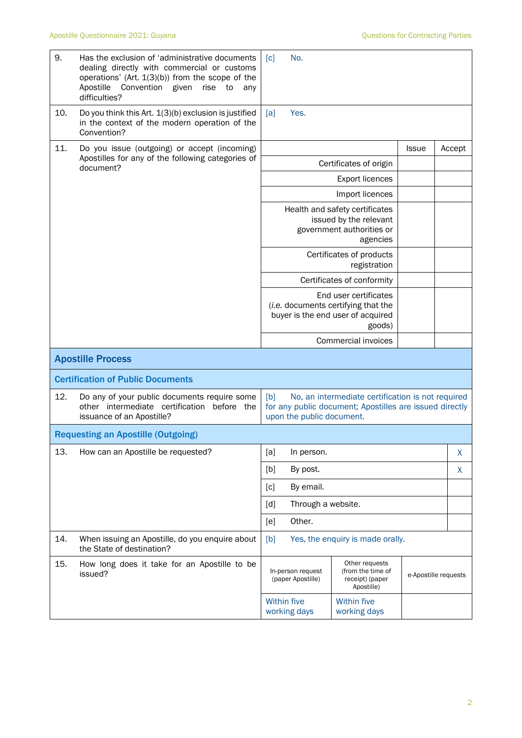| 9.  | Has the exclusion of 'administrative documents<br>dealing directly with commercial or customs<br>operations' (Art. $1(3)(b)$ ) from the scope of the<br>Apostille<br>Convention<br>given<br>rise<br>to<br>any<br>difficulties? | No.<br>$\lceil c \rceil$                                                                                       |                                                                                                              |                      |        |
|-----|--------------------------------------------------------------------------------------------------------------------------------------------------------------------------------------------------------------------------------|----------------------------------------------------------------------------------------------------------------|--------------------------------------------------------------------------------------------------------------|----------------------|--------|
| 10. | Do you think this Art. 1(3)(b) exclusion is justified<br>in the context of the modern operation of the<br>Convention?                                                                                                          | Yes.<br>[a]                                                                                                    |                                                                                                              |                      |        |
| 11. | Do you issue (outgoing) or accept (incoming)                                                                                                                                                                                   |                                                                                                                |                                                                                                              | <b>Issue</b>         | Accept |
|     | Apostilles for any of the following categories of<br>document?                                                                                                                                                                 |                                                                                                                | Certificates of origin                                                                                       |                      |        |
|     |                                                                                                                                                                                                                                |                                                                                                                | <b>Export licences</b>                                                                                       |                      |        |
|     |                                                                                                                                                                                                                                |                                                                                                                | Import licences                                                                                              |                      |        |
|     |                                                                                                                                                                                                                                | Health and safety certificates<br>issued by the relevant<br>government authorities or<br>agencies              |                                                                                                              |                      |        |
|     |                                                                                                                                                                                                                                |                                                                                                                | Certificates of products<br>registration                                                                     |                      |        |
|     |                                                                                                                                                                                                                                |                                                                                                                | Certificates of conformity                                                                                   |                      |        |
|     |                                                                                                                                                                                                                                | End user certificates<br>(i.e. documents certifying that the<br>buyer is the end user of acquired<br>goods)    |                                                                                                              |                      |        |
|     |                                                                                                                                                                                                                                |                                                                                                                | Commercial invoices                                                                                          |                      |        |
|     | <b>Apostille Process</b>                                                                                                                                                                                                       |                                                                                                                |                                                                                                              |                      |        |
|     | <b>Certification of Public Documents</b>                                                                                                                                                                                       |                                                                                                                |                                                                                                              |                      |        |
| 12. | Do any of your public documents require some<br>other intermediate certification before the<br>issuance of an Apostille?                                                                                                       | [b]<br>upon the public document.                                                                               | No, an intermediate certification is not required<br>for any public document; Apostilles are issued directly |                      |        |
|     | <b>Requesting an Apostille (Outgoing)</b>                                                                                                                                                                                      |                                                                                                                |                                                                                                              |                      |        |
| 13. | How can an Apostille be requested?                                                                                                                                                                                             | [a]<br>In person.                                                                                              |                                                                                                              |                      | X      |
|     |                                                                                                                                                                                                                                | [b]<br>By post.                                                                                                |                                                                                                              |                      | X      |
|     |                                                                                                                                                                                                                                | [c]<br>By email.                                                                                               |                                                                                                              |                      |        |
|     |                                                                                                                                                                                                                                | Through a website.<br>[d]                                                                                      |                                                                                                              |                      |        |
|     |                                                                                                                                                                                                                                | Other.<br>[e]                                                                                                  |                                                                                                              |                      |        |
| 14. | When issuing an Apostille, do you enquire about<br>the State of destination?                                                                                                                                                   | Yes, the enquiry is made orally.<br>[b]                                                                        |                                                                                                              |                      |        |
| 15. | How long does it take for an Apostille to be<br>issued?                                                                                                                                                                        | Other requests<br>In-person request<br>(from the time of<br>(paper Apostille)<br>receipt) (paper<br>Apostille) |                                                                                                              | e-Apostille requests |        |
|     |                                                                                                                                                                                                                                | Within five<br>working days                                                                                    | Within five<br>working days                                                                                  |                      |        |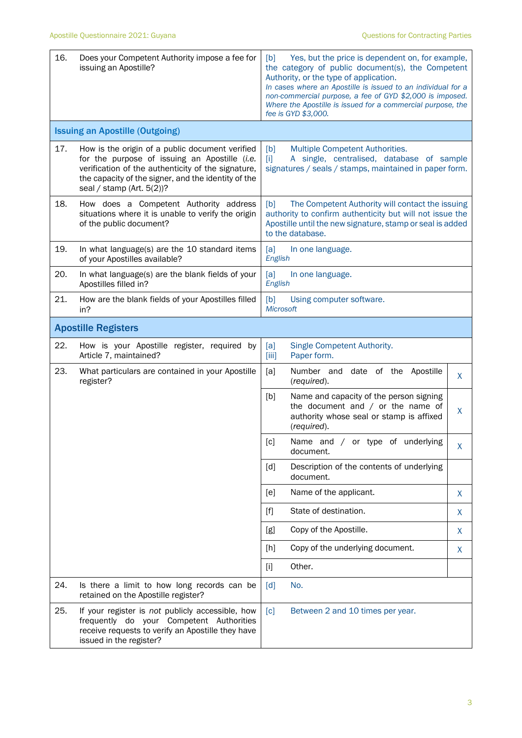| 16. | Does your Competent Authority impose a fee for<br>issuing an Apostille?                                                                                                                                                                       | Yes, but the price is dependent on, for example,<br>[b]<br>the category of public document(s), the Competent<br>Authority, or the type of application.<br>In cases where an Apostille is issued to an individual for a<br>non-commercial purpose, a fee of GYD \$2,000 is imposed.<br>Where the Apostille is issued for a commercial purpose, the<br>fee is GYD \$3,000. |   |  |
|-----|-----------------------------------------------------------------------------------------------------------------------------------------------------------------------------------------------------------------------------------------------|--------------------------------------------------------------------------------------------------------------------------------------------------------------------------------------------------------------------------------------------------------------------------------------------------------------------------------------------------------------------------|---|--|
|     | <b>Issuing an Apostille (Outgoing)</b>                                                                                                                                                                                                        |                                                                                                                                                                                                                                                                                                                                                                          |   |  |
| 17. | How is the origin of a public document verified<br>for the purpose of issuing an Apostille (i.e.<br>verification of the authenticity of the signature,<br>the capacity of the signer, and the identity of the<br>seal / stamp (Art. $5(2)$ )? | Multiple Competent Authorities.<br>[b]<br>A single, centralised, database of sample<br>[1]<br>signatures / seals / stamps, maintained in paper form.                                                                                                                                                                                                                     |   |  |
| 18. | How does a Competent Authority address<br>situations where it is unable to verify the origin<br>of the public document?                                                                                                                       | The Competent Authority will contact the issuing<br>[b]<br>authority to confirm authenticity but will not issue the<br>Apostille until the new signature, stamp or seal is added<br>to the database.                                                                                                                                                                     |   |  |
| 19. | In what language(s) are the 10 standard items<br>of your Apostilles available?                                                                                                                                                                | [a]<br>In one language.<br>English                                                                                                                                                                                                                                                                                                                                       |   |  |
| 20. | In what language(s) are the blank fields of your<br>Apostilles filled in?                                                                                                                                                                     | [a]<br>In one language.<br>English                                                                                                                                                                                                                                                                                                                                       |   |  |
| 21. | How are the blank fields of your Apostilles filled<br>in?                                                                                                                                                                                     | [b]<br>Using computer software.<br>Microsoft                                                                                                                                                                                                                                                                                                                             |   |  |
|     | <b>Apostille Registers</b>                                                                                                                                                                                                                    |                                                                                                                                                                                                                                                                                                                                                                          |   |  |
| 22. | How is your Apostille register, required by<br>Article 7, maintained?                                                                                                                                                                         | Single Competent Authority.<br>[a]<br>[iii]<br>Paper form.                                                                                                                                                                                                                                                                                                               |   |  |
| 23. | What particulars are contained in your Apostille<br>register?                                                                                                                                                                                 | Number and<br>date of the Apostille<br>[a]<br>(required).                                                                                                                                                                                                                                                                                                                | X |  |
|     |                                                                                                                                                                                                                                               | [b]<br>Name and capacity of the person signing<br>the document and $/$ or the name of<br>authority whose seal or stamp is affixed<br>(required).                                                                                                                                                                                                                         | X |  |
|     |                                                                                                                                                                                                                                               | [c]<br>Name and / or type of underlying<br>document.                                                                                                                                                                                                                                                                                                                     | X |  |
|     |                                                                                                                                                                                                                                               | Description of the contents of underlying<br>[d]<br>document.                                                                                                                                                                                                                                                                                                            |   |  |
|     |                                                                                                                                                                                                                                               | Name of the applicant.<br>[e]                                                                                                                                                                                                                                                                                                                                            | X |  |
|     |                                                                                                                                                                                                                                               | State of destination.<br>$[f]$                                                                                                                                                                                                                                                                                                                                           | X |  |
|     |                                                                                                                                                                                                                                               | Copy of the Apostille.<br>[g]                                                                                                                                                                                                                                                                                                                                            | X |  |
|     |                                                                                                                                                                                                                                               | Copy of the underlying document.<br>[h]                                                                                                                                                                                                                                                                                                                                  | X |  |
|     |                                                                                                                                                                                                                                               | Other.<br>$[1]$                                                                                                                                                                                                                                                                                                                                                          |   |  |
| 24. | Is there a limit to how long records can be<br>retained on the Apostille register?                                                                                                                                                            | No.<br>[d]                                                                                                                                                                                                                                                                                                                                                               |   |  |
| 25. | If your register is not publicly accessible, how<br>frequently do your Competent Authorities<br>receive requests to verify an Apostille they have<br>issued in the register?                                                                  | [c]<br>Between 2 and 10 times per year.                                                                                                                                                                                                                                                                                                                                  |   |  |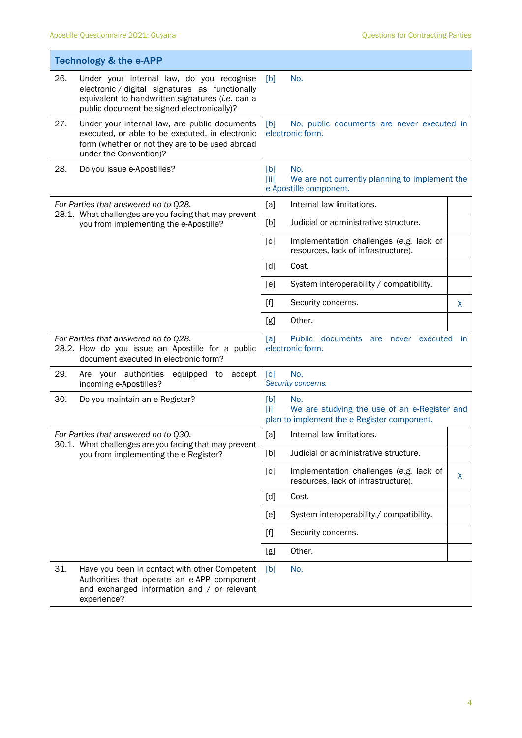|                                                                                                                                   | <b>Technology &amp; the e-APP</b>                                                                                                                                                              |                                                                                                                 |    |  |  |
|-----------------------------------------------------------------------------------------------------------------------------------|------------------------------------------------------------------------------------------------------------------------------------------------------------------------------------------------|-----------------------------------------------------------------------------------------------------------------|----|--|--|
| 26.                                                                                                                               | Under your internal law, do you recognise<br>electronic / digital signatures as functionally<br>equivalent to handwritten signatures (i.e. can a<br>public document be signed electronically)? | [b]<br>No.                                                                                                      |    |  |  |
| 27.                                                                                                                               | Under your internal law, are public documents<br>executed, or able to be executed, in electronic<br>form (whether or not they are to be used abroad<br>under the Convention)?                  | No, public documents are never executed in<br>[b]<br>electronic form.                                           |    |  |  |
| 28.                                                                                                                               | Do you issue e-Apostilles?                                                                                                                                                                     | No.<br>[b]<br>We are not currently planning to implement the<br>[ii]<br>e-Apostille component.                  |    |  |  |
|                                                                                                                                   | For Parties that answered no to Q28.<br>28.1. What challenges are you facing that may prevent                                                                                                  | [a]<br>Internal law limitations.                                                                                |    |  |  |
|                                                                                                                                   | you from implementing the e-Apostille?                                                                                                                                                         | Judicial or administrative structure.<br>[b]                                                                    |    |  |  |
|                                                                                                                                   |                                                                                                                                                                                                | [c]<br>Implementation challenges (e.g. lack of<br>resources, lack of infrastructure).                           |    |  |  |
|                                                                                                                                   |                                                                                                                                                                                                | [d]<br>Cost.                                                                                                    |    |  |  |
|                                                                                                                                   |                                                                                                                                                                                                | System interoperability / compatibility.<br>[e]                                                                 |    |  |  |
|                                                                                                                                   |                                                                                                                                                                                                | $[f]$<br>Security concerns.                                                                                     | X  |  |  |
|                                                                                                                                   |                                                                                                                                                                                                | Other.<br>[g]                                                                                                   |    |  |  |
| For Parties that answered no to Q28.<br>28.2. How do you issue an Apostille for a public<br>document executed in electronic form? |                                                                                                                                                                                                | [a]<br>Public documents are never executed<br>$\mathsf{I}$<br>electronic form.                                  |    |  |  |
| 29.                                                                                                                               | Are your authorities<br>accept<br>equipped to<br>incoming e-Apostilles?                                                                                                                        | No.<br>$\lceil c \rceil$<br>Security concerns.                                                                  |    |  |  |
| 30.                                                                                                                               | Do you maintain an e-Register?                                                                                                                                                                 | No.<br>[b]<br>We are studying the use of an e-Register and<br>ſП<br>plan to implement the e-Register component. |    |  |  |
|                                                                                                                                   | For Parties that answered no to Q30.                                                                                                                                                           | Internal law limitations.<br>[a]                                                                                |    |  |  |
|                                                                                                                                   | 30.1. What challenges are you facing that may prevent<br>you from implementing the e-Register?                                                                                                 | Judicial or administrative structure.<br>[b]                                                                    |    |  |  |
|                                                                                                                                   |                                                                                                                                                                                                | [c]<br>Implementation challenges (e.g. lack of<br>resources, lack of infrastructure).                           | X. |  |  |
|                                                                                                                                   |                                                                                                                                                                                                | [d]<br>Cost.                                                                                                    |    |  |  |
|                                                                                                                                   |                                                                                                                                                                                                | System interoperability / compatibility.<br>[e]                                                                 |    |  |  |
|                                                                                                                                   |                                                                                                                                                                                                | Security concerns.                                                                                              |    |  |  |
|                                                                                                                                   |                                                                                                                                                                                                | Other.<br>[g]                                                                                                   |    |  |  |
| 31.                                                                                                                               | Have you been in contact with other Competent<br>Authorities that operate an e-APP component<br>and exchanged information and / or relevant<br>experience?                                     | [b]<br>No.                                                                                                      |    |  |  |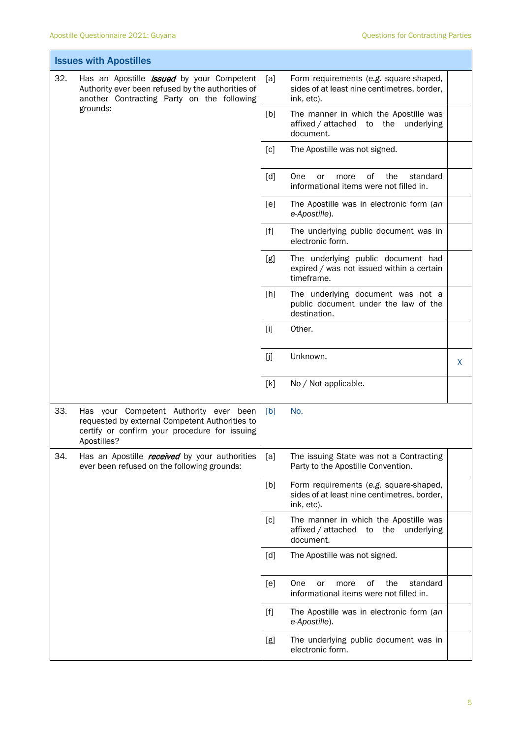T

Ī.

| <b>Issues with Apostilles</b> |                                                                                                                                                          |       |                                                                                                     |   |
|-------------------------------|----------------------------------------------------------------------------------------------------------------------------------------------------------|-------|-----------------------------------------------------------------------------------------------------|---|
| 32.                           | Has an Apostille <i>issued</i> by your Competent<br>Authority ever been refused by the authorities of<br>another Contracting Party on the following      | [a]   | Form requirements (e.g. square-shaped,<br>sides of at least nine centimetres, border,<br>ink, etc). |   |
|                               | grounds:                                                                                                                                                 | [b]   | The manner in which the Apostille was<br>affixed / attached to the underlying<br>document.          |   |
|                               |                                                                                                                                                          | [c]   | The Apostille was not signed.                                                                       |   |
|                               |                                                                                                                                                          | [d]   | One<br>of<br>the<br>standard<br>or<br>more<br>informational items were not filled in.               |   |
|                               |                                                                                                                                                          | [e]   | The Apostille was in electronic form (an<br>e-Apostille).                                           |   |
|                               |                                                                                                                                                          | $[f]$ | The underlying public document was in<br>electronic form.                                           |   |
|                               |                                                                                                                                                          | [g]   | The underlying public document had<br>expired / was not issued within a certain<br>timeframe.       |   |
|                               |                                                                                                                                                          | [h]   | The underlying document was not a<br>public document under the law of the<br>destination.           |   |
|                               |                                                                                                                                                          | $[1]$ | Other.                                                                                              |   |
|                               |                                                                                                                                                          | [j]   | Unknown.                                                                                            | X |
|                               |                                                                                                                                                          | [k]   | No / Not applicable.                                                                                |   |
| 33.                           | Has your Competent Authority ever been<br>requested by external Competent Authorities to<br>certify or confirm your procedure for issuing<br>Apostilles? | [b]   | No.                                                                                                 |   |
| 34.                           | Has an Apostille <i>received</i> by your authorities<br>ever been refused on the following grounds:                                                      | [a]   | The issuing State was not a Contracting<br>Party to the Apostille Convention.                       |   |
|                               |                                                                                                                                                          | [b]   | Form requirements (e.g. square-shaped,<br>sides of at least nine centimetres, border,<br>ink, etc). |   |
|                               |                                                                                                                                                          | [c]   | The manner in which the Apostille was<br>affixed / attached<br>the underlying<br>to<br>document.    |   |
|                               |                                                                                                                                                          | [d]   | The Apostille was not signed.                                                                       |   |
|                               |                                                                                                                                                          | [e]   | οf<br>the<br>standard<br>One<br>more<br>or<br>informational items were not filled in.               |   |
|                               |                                                                                                                                                          | $[f]$ | The Apostille was in electronic form (an<br>e-Apostille).                                           |   |
|                               |                                                                                                                                                          | [g]   | The underlying public document was in<br>electronic form.                                           |   |